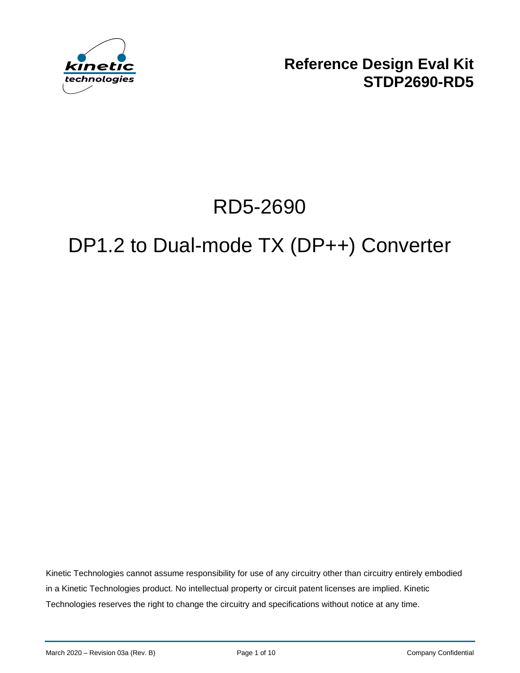

**Reference Design Eval Kit STDP2690-RD5**

# RD5-2690

# DP1.2 to Dual-mode TX (DP++) Converter

Kinetic Technologies cannot assume responsibility for use of any circuitry other than circuitry entirely embodied in a Kinetic Technologies product. No intellectual property or circuit patent licenses are implied. Kinetic Technologies reserves the right to change the circuitry and specifications without notice at any time.

March 2020 – Revision 03a (Rev. B) **Page 1 of 10** Page 1 of 10 Company Confidential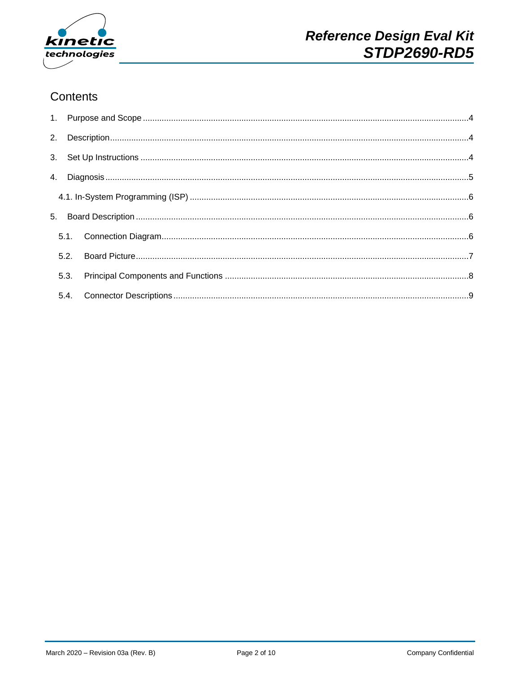

## Contents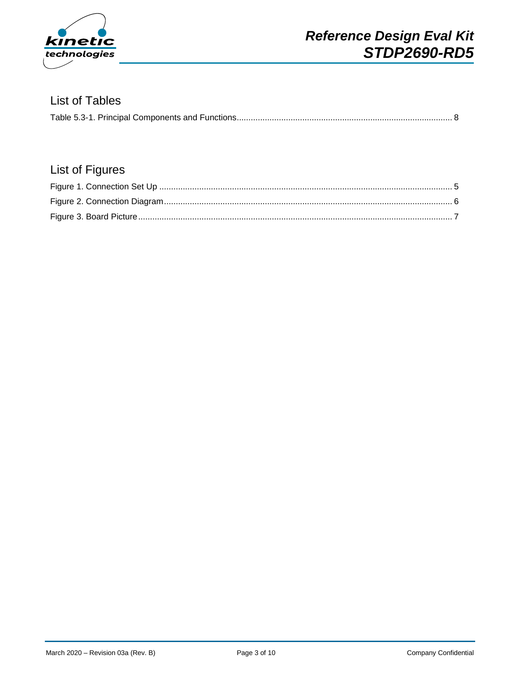

#### List of Tables

|--|

## List of Figures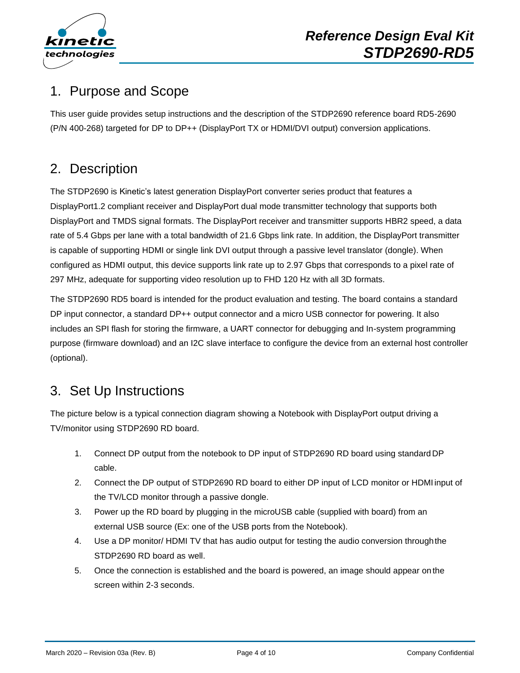

# <span id="page-3-0"></span>1. Purpose and Scope

This user guide provides setup instructions and the description of the STDP2690 reference board RD5-2690 (P/N 400-268) targeted for DP to DP++ (DisplayPort TX or HDMI/DVI output) conversion applications.

# <span id="page-3-1"></span>2. Description

The STDP2690 is Kinetic's latest generation DisplayPort converter series product that features a DisplayPort1.2 compliant receiver and DisplayPort dual mode transmitter technology that supports both DisplayPort and TMDS signal formats. The DisplayPort receiver and transmitter supports HBR2 speed, a data rate of 5.4 Gbps per lane with a total bandwidth of 21.6 Gbps link rate. In addition, the DisplayPort transmitter is capable of supporting HDMI or single link DVI output through a passive level translator (dongle). When configured as HDMI output, this device supports link rate up to 2.97 Gbps that corresponds to a pixel rate of 297 MHz, adequate for supporting video resolution up to FHD 120 Hz with all 3D formats.

The STDP2690 RD5 board is intended for the product evaluation and testing. The board contains a standard DP input connector, a standard DP++ output connector and a micro USB connector for powering. It also includes an SPI flash for storing the firmware, a UART connector for debugging and In-system programming purpose (firmware download) and an I2C slave interface to configure the device from an external host controller (optional).

# <span id="page-3-2"></span>3. Set Up Instructions

The picture below is a typical connection diagram showing a Notebook with DisplayPort output driving a TV/monitor using STDP2690 RD board.

- 1. Connect DP output from the notebook to DP input of STDP2690 RD board using standard DP cable.
- 2. Connect the DP output of STDP2690 RD board to either DP input of LCD monitor or HDMI input of the TV/LCD monitor through a passive dongle.
- 3. Power up the RD board by plugging in the microUSB cable (supplied with board) from an external USB source (Ex: one of the USB ports from the Notebook).
- 4. Use a DP monitor/ HDMI TV that has audio output for testing the audio conversion throughthe STDP2690 RD board as well.
- 5. Once the connection is established and the board is powered, an image should appear on the screen within 2-3 seconds.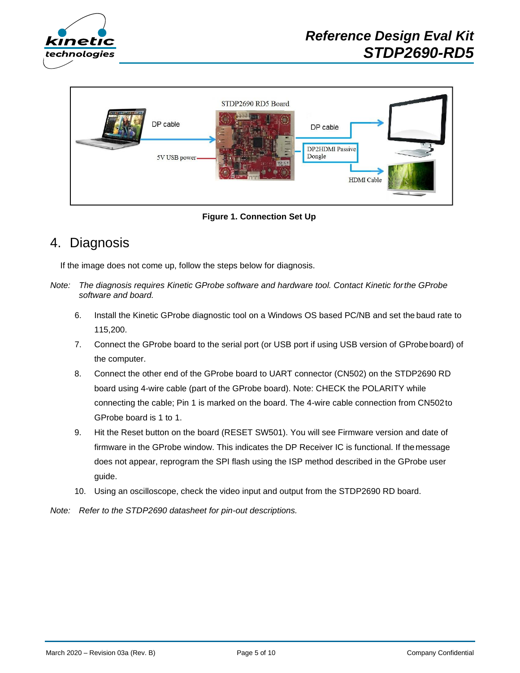



**Figure 1. Connection Set Up**

## <span id="page-4-1"></span><span id="page-4-0"></span>4. Diagnosis

If the image does not come up, follow the steps below for diagnosis.

- *Note: The diagnosis requires Kinetic GProbe software and hardware tool. Contact Kinetic forthe GProbe software and board.*
	- 6. Install the Kinetic GProbe diagnostic tool on a Windows OS based PC/NB and set the baud rate to 115,200.
	- 7. Connect the GProbe board to the serial port (or USB port if using USB version of GProbe board) of the computer.
	- 8. Connect the other end of the GProbe board to UART connector (CN502) on the STDP2690 RD board using 4-wire cable (part of the GProbe board). Note: CHECK the POLARITY while connecting the cable; Pin 1 is marked on the board. The 4-wire cable connection from CN502to GProbe board is 1 to 1.
	- 9. Hit the Reset button on the board (RESET SW501). You will see Firmware version and date of firmware in the GProbe window. This indicates the DP Receiver IC is functional. If themessage does not appear, reprogram the SPI flash using the ISP method described in the GProbe user guide.
	- 10. Using an oscilloscope, check the video input and output from the STDP2690 RD board.
- *Note: Refer to the STDP2690 datasheet for pin-out descriptions.*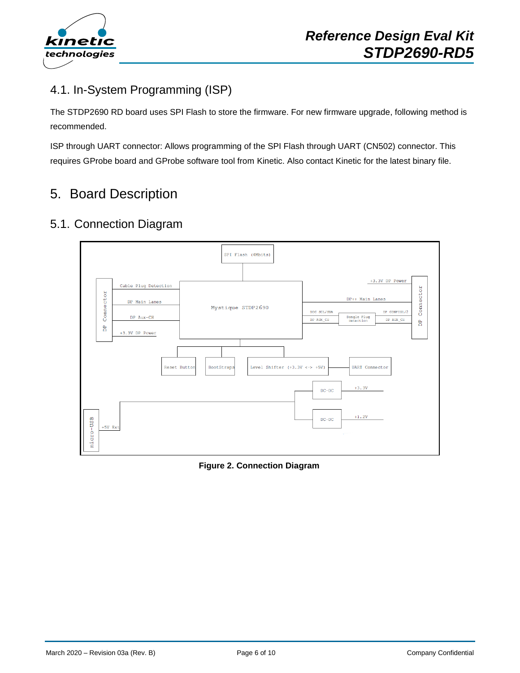

## <span id="page-5-0"></span>4.1. In-System Programming (ISP)

The STDP2690 RD board uses SPI Flash to store the firmware. For new firmware upgrade, following method is recommended.

ISP through UART connector: Allows programming of the SPI Flash through UART (CN502) connector. This requires GProbe board and GProbe software tool from Kinetic. Also contact Kinetic for the latest binary file.

# <span id="page-5-1"></span>5. Board Description

## <span id="page-5-2"></span>5.1. Connection Diagram



<span id="page-5-3"></span>**Figure 2. Connection Diagram**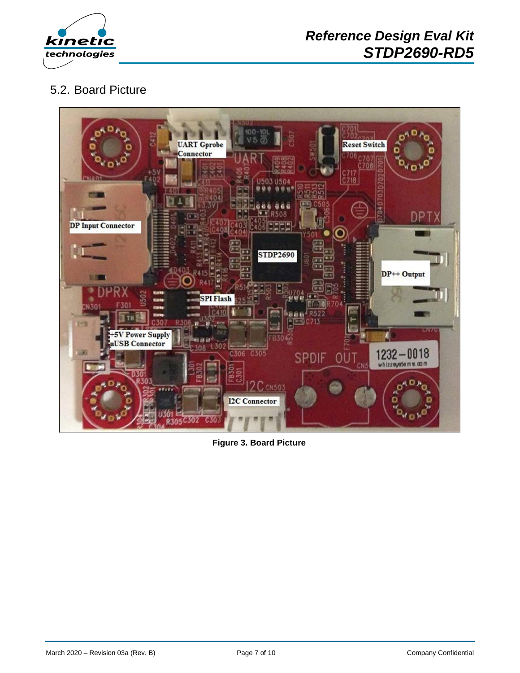

## <span id="page-6-0"></span>5.2. Board Picture



<span id="page-6-1"></span>**Figure 3. Board Picture**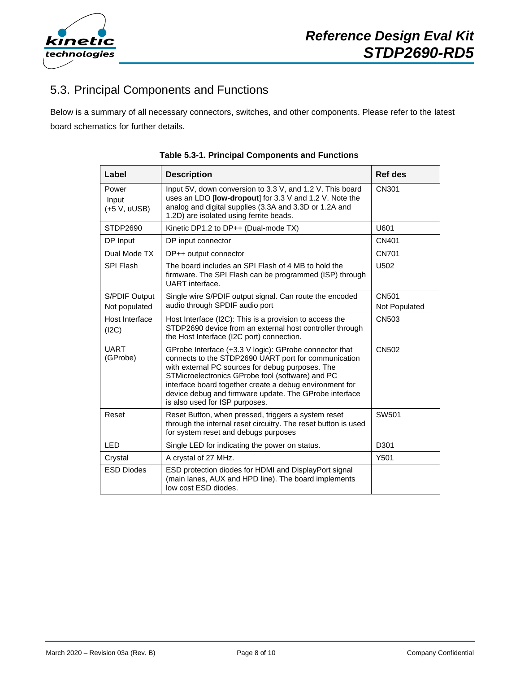

## <span id="page-7-0"></span>5.3. Principal Components and Functions

<span id="page-7-1"></span>Below is a summary of all necessary connectors, switches, and other components. Please refer to the latest board schematics for further details.

| Label                            | <b>Description</b>                                                                                                                                                                                                                                                                                                                                                            | Ref des                       |
|----------------------------------|-------------------------------------------------------------------------------------------------------------------------------------------------------------------------------------------------------------------------------------------------------------------------------------------------------------------------------------------------------------------------------|-------------------------------|
| Power<br>Input<br>$(+5 V, uUSE)$ | Input 5V, down conversion to 3.3 V, and 1.2 V. This board<br>uses an LDO [low-dropout] for 3.3 V and 1.2 V. Note the<br>analog and digital supplies (3.3A and 3.3D or 1.2A and<br>1.2D) are isolated using ferrite beads.                                                                                                                                                     | CN301                         |
| STDP2690                         | Kinetic DP1.2 to DP++ (Dual-mode TX)                                                                                                                                                                                                                                                                                                                                          | U601                          |
| DP Input                         | DP input connector                                                                                                                                                                                                                                                                                                                                                            | CN401                         |
| Dual Mode TX                     | DP++ output connector                                                                                                                                                                                                                                                                                                                                                         | CN701                         |
| SPI Flash                        | The board includes an SPI Flash of 4 MB to hold the<br>firmware. The SPI Flash can be programmed (ISP) through<br>UART interface.                                                                                                                                                                                                                                             | U502                          |
| S/PDIF Output<br>Not populated   | Single wire S/PDIF output signal. Can route the encoded<br>audio through SPDIF audio port                                                                                                                                                                                                                                                                                     | <b>CN501</b><br>Not Populated |
| Host Interface<br>(12C)          | Host Interface (I2C): This is a provision to access the<br>STDP2690 device from an external host controller through<br>the Host Interface (I2C port) connection.                                                                                                                                                                                                              | CN503                         |
| <b>UART</b><br>(GProbe)          | GProbe Interface (+3.3 V logic): GProbe connector that<br>connects to the STDP2690 UART port for communication<br>with external PC sources for debug purposes. The<br>STMicroelectronics GProbe tool (software) and PC<br>interface board together create a debug environment for<br>device debug and firmware update. The GProbe interface<br>is also used for ISP purposes. | CN502                         |
| Reset                            | Reset Button, when pressed, triggers a system reset<br>through the internal reset circuitry. The reset button is used<br>for system reset and debugs purposes                                                                                                                                                                                                                 | SW501                         |
| <b>LED</b>                       | Single LED for indicating the power on status.                                                                                                                                                                                                                                                                                                                                | D301                          |
| Crystal                          | A crystal of 27 MHz.                                                                                                                                                                                                                                                                                                                                                          | Y501                          |
| <b>ESD Diodes</b>                | ESD protection diodes for HDMI and DisplayPort signal<br>(main lanes, AUX and HPD line). The board implements<br>low cost ESD diodes.                                                                                                                                                                                                                                         |                               |

**Table 5.3-1. Principal Components and Functions**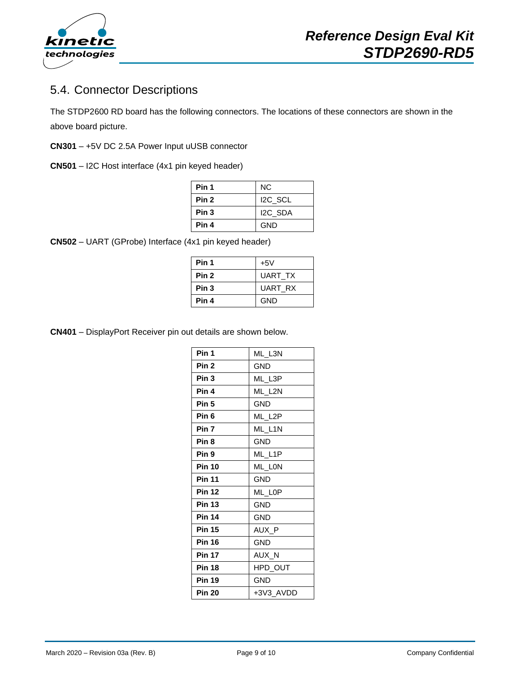

## <span id="page-8-0"></span>5.4. Connector Descriptions

The STDP2600 RD board has the following connectors. The locations of these connectors are shown in the above board picture.

- **CN301**  +5V DC 2.5A Power Input uUSB connector
- **CN501**  I2C Host interface (4x1 pin keyed header)

| Pin 1 | NC.                  |
|-------|----------------------|
| Pin 2 | I <sub>2C</sub> SCL  |
| Pin 3 | I <sub>2</sub> C SDA |
| Pin 4 | GND                  |

**CN502** – UART (GProbe) Interface (4x1 pin keyed header)

| Pin 1            | $+5V$          |
|------------------|----------------|
| Pin 2            | <b>UART TX</b> |
| Pin <sub>3</sub> | <b>UART RX</b> |
| Pin 4            | <b>GND</b>     |

**CN401** – DisplayPort Receiver pin out details are shown below.

| Pin 1            | ML_L3N     |
|------------------|------------|
| Pin <sub>2</sub> | GND.       |
| Pin <sub>3</sub> | ML_L3P     |
| Pin 4            | ML L2N     |
| Pin <sub>5</sub> | <b>GND</b> |
| Pin <sub>6</sub> | ML_L2P     |
| Pin <sub>7</sub> | ML L1N     |
| Pin <sub>8</sub> | <b>GND</b> |
| Pin 9            | ML_L1P     |
| <b>Pin 10</b>    | ML LON     |
| <b>Pin 11</b>    | <b>GND</b> |
| <b>Pin 12</b>    | ML LOP     |
| <b>Pin 13</b>    | GND.       |
| <b>Pin 14</b>    | <b>GND</b> |
| <b>Pin 15</b>    | AUX P      |
| <b>Pin 16</b>    | <b>GND</b> |
| <b>Pin 17</b>    | AUX N      |
| <b>Pin 18</b>    | HPD_OUT    |
| <b>Pin 19</b>    | <b>GND</b> |
| <b>Pin 20</b>    | +3V3 AVDD  |
|                  |            |